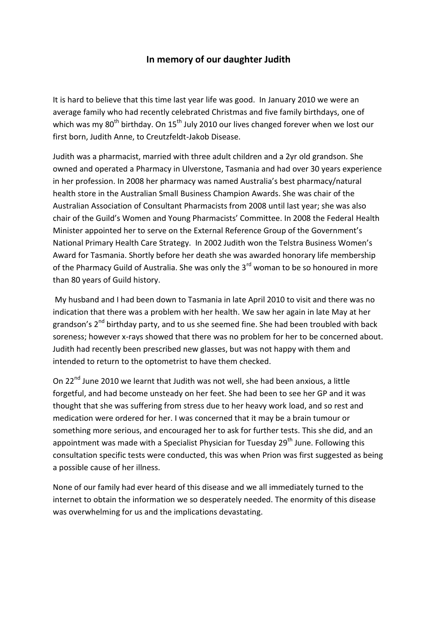## **In memory of our daughter Judith**

It is hard to believe that this time last year life was good. In January 2010 we were an average family who had recently celebrated Christmas and five family birthdays, one of which was my  $80^{th}$  birthday. On  $15^{th}$  July 2010 our lives changed forever when we lost our first born, Judith Anne, to Creutzfeldt-Jakob Disease.

Judith was a pharmacist, married with three adult children and a 2yr old grandson. She owned and operated a Pharmacy in Ulverstone, Tasmania and had over 30 years experience in her profession. In 2008 her pharmacy was named Australia's best pharmacy/natural health store in the Australian Small Business Champion Awards. She was chair of the Australian Association of Consultant Pharmacists from 2008 until last year; she was also chair of the Guild's Women and Young Pharmacists' Committee. In 2008 the Federal Health Minister appointed her to serve on the External Reference Group of the Government's National Primary Health Care Strategy. In 2002 Judith won the Telstra Business Women's Award for Tasmania. Shortly before her death she was awarded honorary life membership of the Pharmacy Guild of Australia. She was only the 3<sup>rd</sup> woman to be so honoured in more than 80 years of Guild history.

My husband and I had been down to Tasmania in late April 2010 to visit and there was no indication that there was a problem with her health. We saw her again in late May at her grandson's 2<sup>nd</sup> birthday party, and to us she seemed fine. She had been troubled with back soreness; however x-rays showed that there was no problem for her to be concerned about. Judith had recently been prescribed new glasses, but was not happy with them and intended to return to the optometrist to have them checked.

On 22<sup>nd</sup> June 2010 we learnt that Judith was not well, she had been anxious, a little forgetful, and had become unsteady on her feet. She had been to see her GP and it was thought that she was suffering from stress due to her heavy work load, and so rest and medication were ordered for her. I was concerned that it may be a brain tumour or something more serious, and encouraged her to ask for further tests. This she did, and an appointment was made with a Specialist Physician for Tuesday 29<sup>th</sup> June. Following this consultation specific tests were conducted, this was when Prion was first suggested as being a possible cause of her illness.

None of our family had ever heard of this disease and we all immediately turned to the internet to obtain the information we so desperately needed. The enormity of this disease was overwhelming for us and the implications devastating.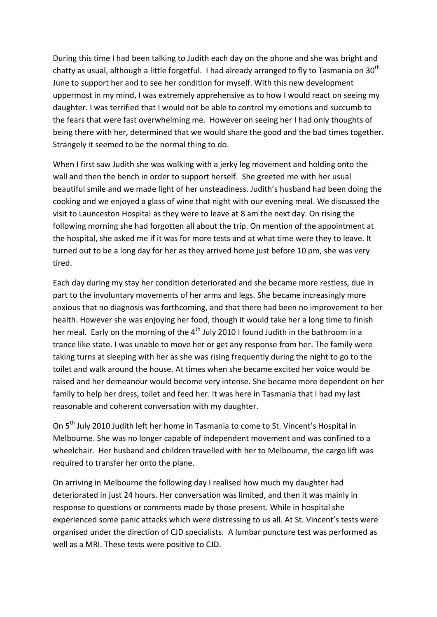During this time I had been talking to Judith each day on the phone and she was bright and chatty as usual, although a little forgetful. I had already arranged to fly to Tasmania on  $30<sup>th</sup>$ June to support her and to see her condition for myself. With this new development uppermost in my mind, I was extremely apprehensive as to how I would react on seeing my daughter. I was terrified that I would not be able to control my emotions and succumb to the fears that were fast overwhelming me. However on seeing her I had only thoughts of being there with her, determined that we would share the good and the bad times together. Strangely it seemed to be the normal thing to do.

When I first saw Judith she was walking with a jerky leg movement and holding onto the wall and then the bench in order to support herself. She greeted me with her usual beautiful smile and we made light of her unsteadiness. Judith's husband had been doing the cooking and we enjoyed a glass of wine that night with our evening meal. We discussed the visit to Launceston Hospital as they were to leave at 8 am the next day. On rising the following morning she had forgotten all about the trip. On mention of the appointment at the hospital, she asked me if it was for more tests and at what time were they to leave. It turned out to be a long day for her as they arrived home just before 10 pm, she was very tired.

Each day during my stay her condition deteriorated and she became more restless, due in part to the involuntary movements of her arms and legs. She became increasingly more anxious that no diagnosis was forthcoming, and that there had been no improvement to her health. However she was enjoying her food, though it would take her a long time to finish her meal. Early on the morning of the  $4<sup>th</sup>$  July 2010 I found Judith in the bathroom in a trance like state. I was unable to move her or get any response from her. The family were taking turns at sleeping with her as she was rising frequently during the night to go to the toilet and walk around the house. At times when she became excited her voice would be raised and her demeanour would become very intense. She became more dependent on her family to help her dress, toilet and feed her. It was here in Tasmania that I had my last reasonable and coherent conversation with my daughter.

On 5<sup>th</sup> July 2010 Judith left her home in Tasmania to come to St. Vincent's Hospital in Melbourne. She was no longer capable of independent movement and was confined to a wheelchair. Her husband and children travelled with her to Melbourne, the cargo lift was required to transfer her onto the plane.

On arriving in Melbourne the following day I realised how much my daughter had deteriorated in just 24 hours. Her conversation was limited, and then it was mainly in response to questions or comments made by those present. While in hospital she experienced some panic attacks which were distressing to us all. At St. Vincent's tests were organised under the direction of CJD specialists. A lumbar puncture test was performed as well as a MRI. These tests were positive to CJD.